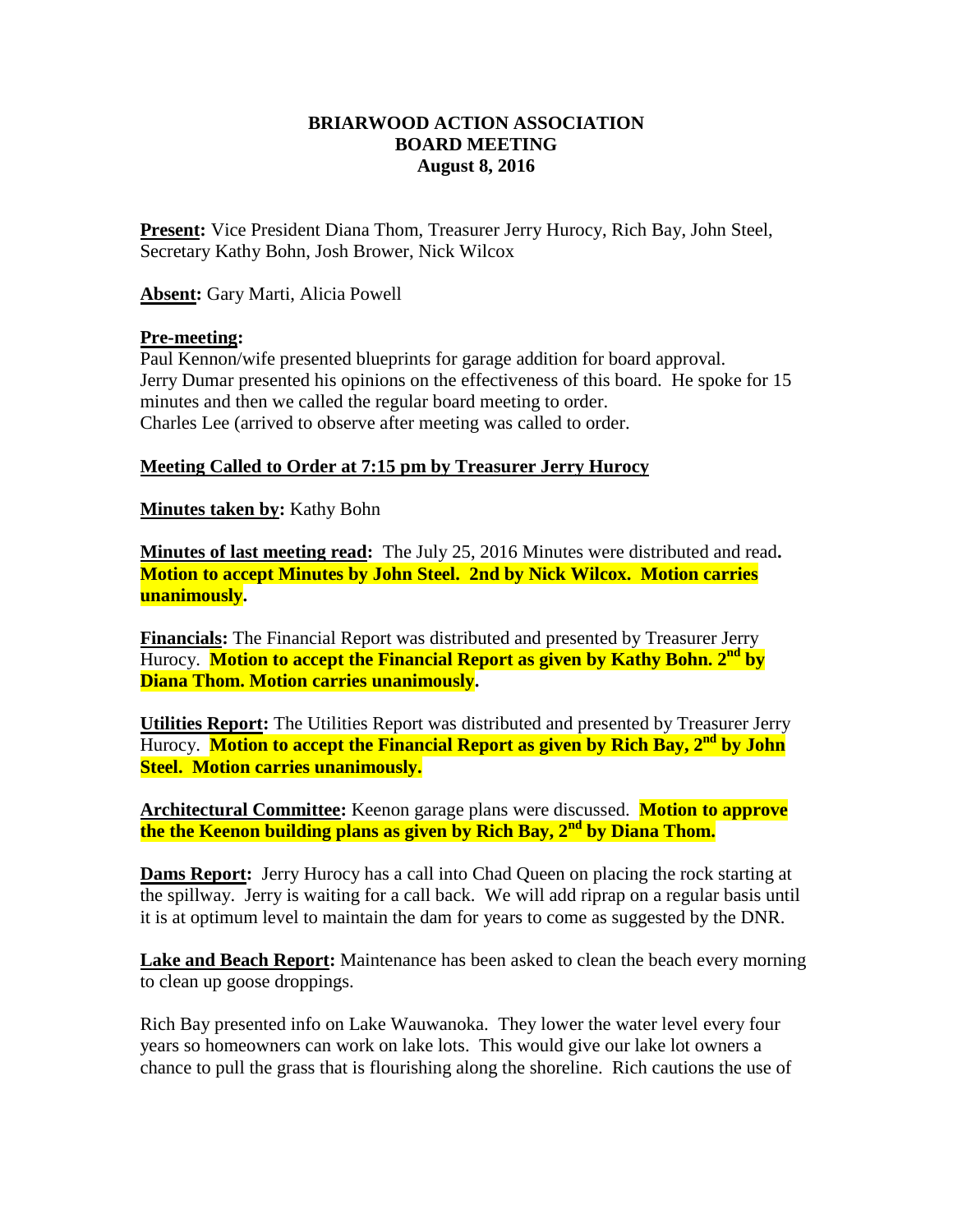# **BRIARWOOD ACTION ASSOCIATION BOARD MEETING August 8, 2016**

**Present:** Vice President Diana Thom, Treasurer Jerry Hurocy, Rich Bay, John Steel, Secretary Kathy Bohn, Josh Brower, Nick Wilcox

**Absent:** Gary Marti, Alicia Powell

## **Pre-meeting:**

Paul Kennon/wife presented blueprints for garage addition for board approval. Jerry Dumar presented his opinions on the effectiveness of this board. He spoke for 15 minutes and then we called the regular board meeting to order. Charles Lee (arrived to observe after meeting was called to order.

## **Meeting Called to Order at 7:15 pm by Treasurer Jerry Hurocy**

**Minutes taken by:** Kathy Bohn

**Minutes of last meeting read:** The July 25, 2016 Minutes were distributed and read**. Motion to accept Minutes by John Steel. 2nd by Nick Wilcox. Motion carries unanimously.**

**Financials:** The Financial Report was distributed and presented by Treasurer Jerry Hurocy. **Motion to accept the Financial Report as given by Kathy Bohn. 2<sup>nd</sup> by Diana Thom. Motion carries unanimously.**

**Utilities Report:** The Utilities Report was distributed and presented by Treasurer Jerry Hurocy. **Motion to accept the Financial Report as given by Rich Bay, 2nd by John Steel. Motion carries unanimously.**

**Architectural Committee:** Keenon garage plans were discussed. **Motion to approve the the Keenon building plans as given by Rich Bay, 2nd by Diana Thom.**

**Dams Report:** Jerry Hurocy has a call into Chad Queen on placing the rock starting at the spillway. Jerry is waiting for a call back. We will add riprap on a regular basis until it is at optimum level to maintain the dam for years to come as suggested by the DNR.

**Lake and Beach Report:** Maintenance has been asked to clean the beach every morning to clean up goose droppings.

Rich Bay presented info on Lake Wauwanoka. They lower the water level every four years so homeowners can work on lake lots. This would give our lake lot owners a chance to pull the grass that is flourishing along the shoreline. Rich cautions the use of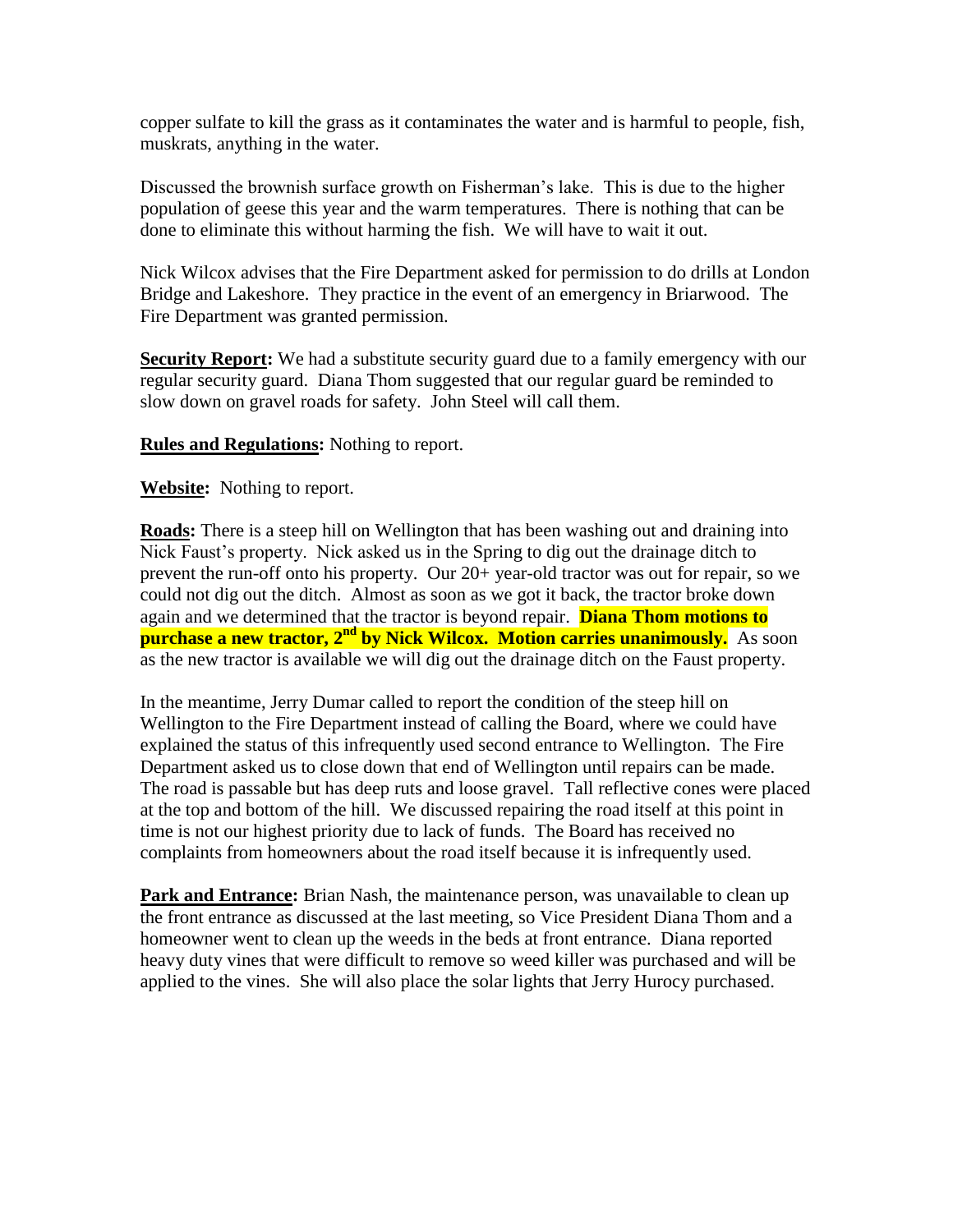copper sulfate to kill the grass as it contaminates the water and is harmful to people, fish, muskrats, anything in the water.

Discussed the brownish surface growth on Fisherman's lake. This is due to the higher population of geese this year and the warm temperatures. There is nothing that can be done to eliminate this without harming the fish. We will have to wait it out.

Nick Wilcox advises that the Fire Department asked for permission to do drills at London Bridge and Lakeshore. They practice in the event of an emergency in Briarwood. The Fire Department was granted permission.

**Security Report:** We had a substitute security guard due to a family emergency with our regular security guard. Diana Thom suggested that our regular guard be reminded to slow down on gravel roads for safety. John Steel will call them.

**Rules and Regulations:** Nothing to report.

**Website:** Nothing to report.

**Roads:** There is a steep hill on Wellington that has been washing out and draining into Nick Faust's property. Nick asked us in the Spring to dig out the drainage ditch to prevent the run-off onto his property. Our 20+ year-old tractor was out for repair, so we could not dig out the ditch. Almost as soon as we got it back, the tractor broke down again and we determined that the tractor is beyond repair. **Diana Thom motions to purchase a new tractor, 2<sup>nd</sup> by Nick Wilcox. Motion carries unanimously.** As soon as the new tractor is available we will dig out the drainage ditch on the Faust property.

In the meantime, Jerry Dumar called to report the condition of the steep hill on Wellington to the Fire Department instead of calling the Board, where we could have explained the status of this infrequently used second entrance to Wellington. The Fire Department asked us to close down that end of Wellington until repairs can be made. The road is passable but has deep ruts and loose gravel. Tall reflective cones were placed at the top and bottom of the hill. We discussed repairing the road itself at this point in time is not our highest priority due to lack of funds. The Board has received no complaints from homeowners about the road itself because it is infrequently used.

**Park and Entrance:** Brian Nash, the maintenance person, was unavailable to clean up the front entrance as discussed at the last meeting, so Vice President Diana Thom and a homeowner went to clean up the weeds in the beds at front entrance. Diana reported heavy duty vines that were difficult to remove so weed killer was purchased and will be applied to the vines. She will also place the solar lights that Jerry Hurocy purchased.